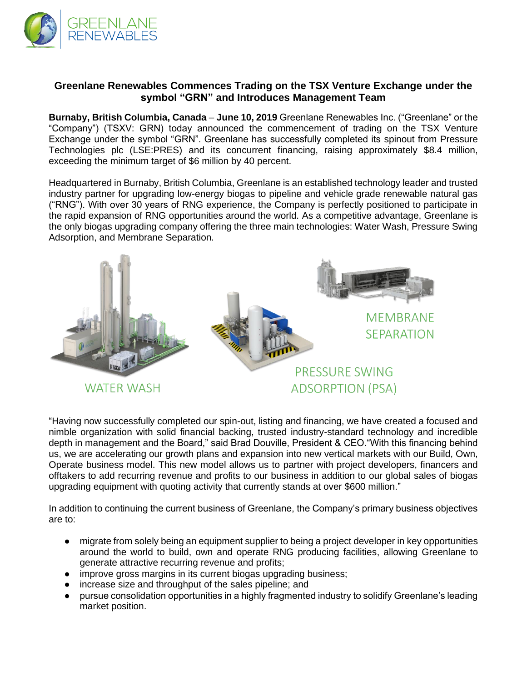

# **Greenlane Renewables Commences Trading on the TSX Venture Exchange under the symbol "GRN" and Introduces Management Team**

**Burnaby, British Columbia, Canada** – **June 10, 2019** Greenlane Renewables Inc. ("Greenlane" or the "Company") (TSXV: GRN) today announced the commencement of trading on the TSX Venture Exchange under the symbol "GRN". Greenlane has successfully completed its spinout from Pressure Technologies plc (LSE:PRES) and its concurrent financing, raising approximately \$8.4 million, exceeding the minimum target of \$6 million by 40 percent.

Headquartered in Burnaby, British Columbia, Greenlane is an established technology leader and trusted industry partner for upgrading low-energy biogas to pipeline and vehicle grade renewable natural gas ("RNG"). With over 30 years of RNG experience, the Company is perfectly positioned to participate in the rapid expansion of RNG opportunities around the world. As a competitive advantage, Greenlane is the only biogas upgrading company offering the three main technologies: Water Wash, Pressure Swing Adsorption, and Membrane Separation.



"Having now successfully completed our spin-out, listing and financing, we have created a focused and nimble organization with solid financial backing, trusted industry-standard technology and incredible depth in management and the Board," said Brad Douville, President & CEO."With this financing behind us, we are accelerating our growth plans and expansion into new vertical markets with our Build, Own, Operate business model. This new model allows us to partner with project developers, financers and offtakers to add recurring revenue and profits to our business in addition to our global sales of biogas upgrading equipment with quoting activity that currently stands at over \$600 million."

In addition to continuing the current business of Greenlane, the Company's primary business objectives are to:

- migrate from solely being an equipment supplier to being a project developer in key opportunities around the world to build, own and operate RNG producing facilities, allowing Greenlane to generate attractive recurring revenue and profits;
- improve gross margins in its current biogas upgrading business;
- increase size and throughput of the sales pipeline; and
- pursue consolidation opportunities in a highly fragmented industry to solidify Greenlane's leading market position.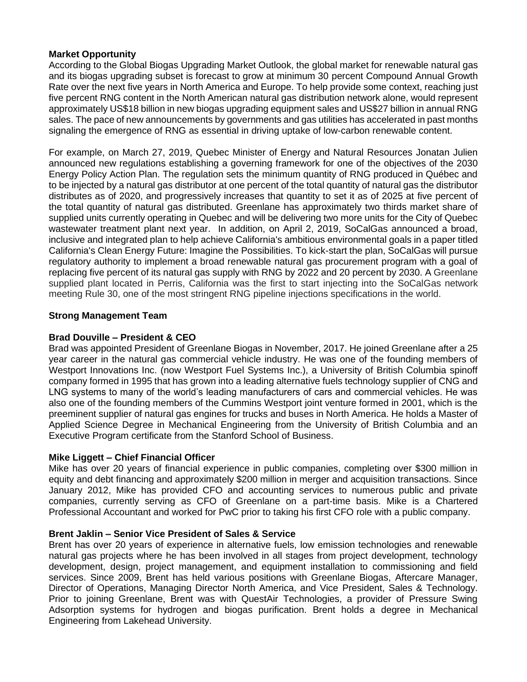# **Market Opportunity**

According to the Global Biogas Upgrading Market Outlook, the global market for renewable natural gas and its biogas upgrading subset is forecast to grow at minimum 30 percent Compound Annual Growth Rate over the next five years in North America and Europe. To help provide some context, reaching just five percent RNG content in the North American natural gas distribution network alone, would represent approximately US\$18 billion in new biogas upgrading equipment sales and US\$27 billion in annual RNG sales. The pace of new announcements by governments and gas utilities has accelerated in past months signaling the emergence of RNG as essential in driving uptake of low-carbon renewable content.

For example, on March 27, 2019, Quebec Minister of Energy and Natural Resources Jonatan Julien announced new regulations establishing a governing framework for one of the objectives of the 2030 Energy Policy Action Plan. The regulation sets the minimum quantity of RNG produced in Québec and to be injected by a natural gas distributor at one percent of the total quantity of natural gas the distributor distributes as of 2020, and progressively increases that quantity to set it as of 2025 at five percent of the total quantity of natural gas distributed. Greenlane has approximately two thirds market share of supplied units currently operating in Quebec and will be delivering two more units for the City of Quebec wastewater treatment plant next year. In addition, on April 2, 2019, SoCalGas announced a broad, inclusive and integrated plan to help achieve California's ambitious environmental goals in a paper titled California's Clean Energy Future: Imagine the Possibilities. To kick-start the plan, SoCalGas will pursue regulatory authority to implement a broad renewable natural gas procurement program with a goal of replacing five percent of its natural gas supply with RNG by 2022 and 20 percent by 2030. A Greenlane supplied plant located in Perris, California was the first to start injecting into the SoCalGas network meeting Rule 30, one of the most stringent RNG pipeline injections specifications in the world.

# **Strong Management Team**

# **Brad Douville – President & CEO**

Brad was appointed President of Greenlane Biogas in November, 2017. He joined Greenlane after a 25 year career in the natural gas commercial vehicle industry. He was one of the founding members of Westport Innovations Inc. (now Westport Fuel Systems Inc.), a University of British Columbia spinoff company formed in 1995 that has grown into a leading alternative fuels technology supplier of CNG and LNG systems to many of the world's leading manufacturers of cars and commercial vehicles. He was also one of the founding members of the Cummins Westport joint venture formed in 2001, which is the preeminent supplier of natural gas engines for trucks and buses in North America. He holds a Master of Applied Science Degree in Mechanical Engineering from the University of British Columbia and an Executive Program certificate from the Stanford School of Business.

## **Mike Liggett – Chief Financial Officer**

Mike has over 20 years of financial experience in public companies, completing over \$300 million in equity and debt financing and approximately \$200 million in merger and acquisition transactions. Since January 2012, Mike has provided CFO and accounting services to numerous public and private companies, currently serving as CFO of Greenlane on a part-time basis. Mike is a Chartered Professional Accountant and worked for PwC prior to taking his first CFO role with a public company.

## **Brent Jaklin – Senior Vice President of Sales & Service**

Brent has over 20 years of experience in alternative fuels, low emission technologies and renewable natural gas projects where he has been involved in all stages from project development, technology development, design, project management, and equipment installation to commissioning and field services. Since 2009, Brent has held various positions with Greenlane Biogas, Aftercare Manager, Director of Operations, Managing Director North America, and Vice President, Sales & Technology. Prior to joining Greenlane, Brent was with QuestAir Technologies, a provider of Pressure Swing Adsorption systems for hydrogen and biogas purification. Brent holds a degree in Mechanical Engineering from Lakehead University.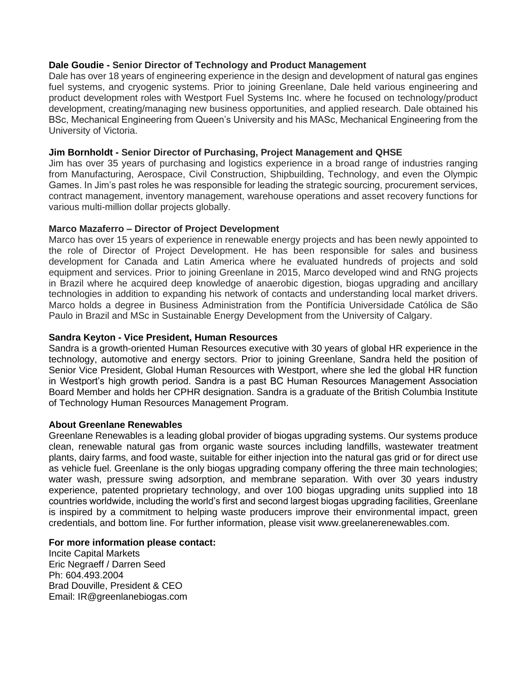### **Dale Goudie - Senior Director of Technology and Product Management**

Dale has over 18 years of engineering experience in the design and development of natural gas engines fuel systems, and cryogenic systems. Prior to joining Greenlane, Dale held various engineering and product development roles with Westport Fuel Systems Inc. where he focused on technology/product development, creating/managing new business opportunities, and applied research. Dale obtained his BSc, Mechanical Engineering from Queen's University and his MASc, Mechanical Engineering from the University of Victoria.

### **Jim Bornholdt - Senior Director of Purchasing, Project Management and QHSE**

Jim has over 35 years of purchasing and logistics experience in a broad range of industries ranging from Manufacturing, Aerospace, Civil Construction, Shipbuilding, Technology, and even the Olympic Games. In Jim's past roles he was responsible for leading the strategic sourcing, procurement services, contract management, inventory management, warehouse operations and asset recovery functions for various multi-million dollar projects globally.

#### **Marco Mazaferro – Director of Project Development**

Marco has over 15 years of experience in renewable energy projects and has been newly appointed to the role of Director of Project Development. He has been responsible for sales and business development for Canada and Latin America where he evaluated hundreds of projects and sold equipment and services. Prior to joining Greenlane in 2015, Marco developed wind and RNG projects in Brazil where he acquired deep knowledge of anaerobic digestion, biogas upgrading and ancillary technologies in addition to expanding his network of contacts and understanding local market drivers. Marco holds a degree in Business Administration from the Pontifícia Universidade Católica de São Paulo in Brazil and MSc in Sustainable Energy Development from the University of Calgary.

### **Sandra Keyton - Vice President, Human Resources**

Sandra is a growth-oriented Human Resources executive with 30 years of global HR experience in the technology, automotive and energy sectors. Prior to joining Greenlane, Sandra held the position of Senior Vice President, Global Human Resources with Westport, where she led the global HR function in Westport's high growth period. Sandra is a past BC Human Resources Management Association Board Member and holds her CPHR designation. Sandra is a graduate of the British Columbia Institute of Technology Human Resources Management Program.

#### **About Greenlane Renewables**

Greenlane Renewables is a leading global provider of biogas upgrading systems. Our systems produce clean, renewable natural gas from organic waste sources including landfills, wastewater treatment plants, dairy farms, and food waste, suitable for either injection into the natural gas grid or for direct use as vehicle fuel. Greenlane is the only biogas upgrading company offering the three main technologies; water wash, pressure swing adsorption, and membrane separation. With over 30 years industry experience, patented proprietary technology, and over 100 biogas upgrading units supplied into 18 countries worldwide, including the world's first and second largest biogas upgrading facilities, Greenlane is inspired by a commitment to helping waste producers improve their environmental impact, green credentials, and bottom line. For further information, please visit www.greelanerenewables.com.

# **For more information please contact:**

Incite Capital Markets Eric Negraeff / Darren Seed Ph: 604.493.2004 Brad Douville, President & CEO Email: IR@greenlanebiogas.com